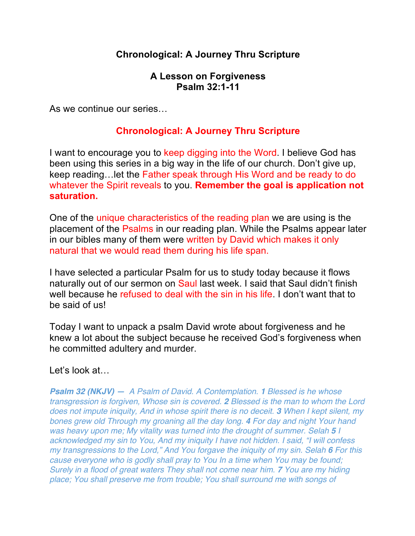# **Chronological: A Journey Thru Scripture**

#### **A Lesson on Forgiveness Psalm 32:1-11**

As we continue our series…

### **Chronological: A Journey Thru Scripture**

I want to encourage you to keep digging into the Word. I believe God has been using this series in a big way in the life of our church. Don't give up, keep reading…let the Father speak through His Word and be ready to do whatever the Spirit reveals to you. **Remember the goal is application not saturation.** 

One of the unique characteristics of the reading plan we are using is the placement of the Psalms in our reading plan. While the Psalms appear later in our bibles many of them were written by David which makes it only natural that we would read them during his life span.

I have selected a particular Psalm for us to study today because it flows naturally out of our sermon on Saul last week. I said that Saul didn't finish well because he refused to deal with the sin in his life. I don't want that to be said of us!

Today I want to unpack a psalm David wrote about forgiveness and he knew a lot about the subject because he received God's forgiveness when he committed adultery and murder.

Let's look at…

*Psalm 32 (NKJV) — A Psalm of David. A Contemplation. 1 Blessed is he whose transgression is forgiven, Whose sin is covered. 2 Blessed is the man to whom the Lord does not impute iniquity, And in whose spirit there is no deceit. 3 When I kept silent, my bones grew old Through my groaning all the day long. 4 For day and night Your hand was heavy upon me; My vitality was turned into the drought of summer. Selah 5 I acknowledged my sin to You, And my iniquity I have not hidden. I said, "I will confess my transgressions to the Lord," And You forgave the iniquity of my sin. Selah 6 For this cause everyone who is godly shall pray to You In a time when You may be found; Surely in a flood of great waters They shall not come near him. 7 You are my hiding place; You shall preserve me from trouble; You shall surround me with songs of*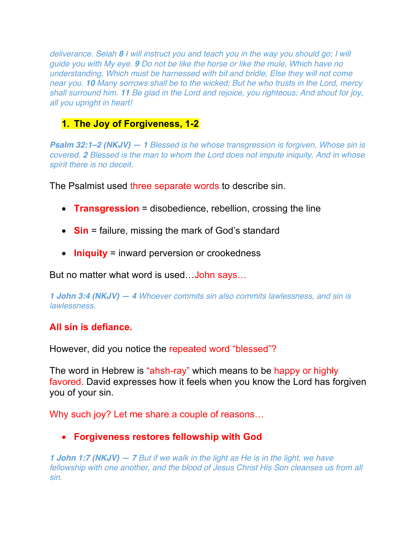*deliverance. Selah 8 I will instruct you and teach you in the way you should go; I will guide you with My eye. 9 Do not be like the horse or like the mule, Which have no understanding, Which must be harnessed with bit and bridle, Else they will not come near you. 10 Many sorrows shall be to the wicked; But he who trusts in the Lord, mercy shall surround him. 11 Be glad in the Lord and rejoice, you righteous; And shout for joy, all you upright in heart!*

# **1. The Joy of Forgiveness, 1-2**

*Psalm 32:1–2 (NKJV) — 1 Blessed is he whose transgression is forgiven, Whose sin is covered. 2 Blessed is the man to whom the Lord does not impute iniquity, And in whose spirit there is no deceit.*

The Psalmist used three separate words to describe sin.

- **Transgression** = disobedience, rebellion, crossing the line
- **Sin** = failure, missing the mark of God's standard
- **Iniquity** = inward perversion or crookedness

But no matter what word is used…John says…

*1 John 3:4 (NKJV) — 4 Whoever commits sin also commits lawlessness, and sin is lawlessness.*

### **All sin is defiance.**

However, did you notice the repeated word "blessed"?

The word in Hebrew is "ahsh-ray" which means to be happy or highly favored. David expresses how it feels when you know the Lord has forgiven you of your sin.

Why such joy? Let me share a couple of reasons…

### • **Forgiveness restores fellowship with God**

*1 John 1:7 (NKJV) — 7 But if we walk in the light as He is in the light, we have fellowship with one another, and the blood of Jesus Christ His Son cleanses us from all sin.*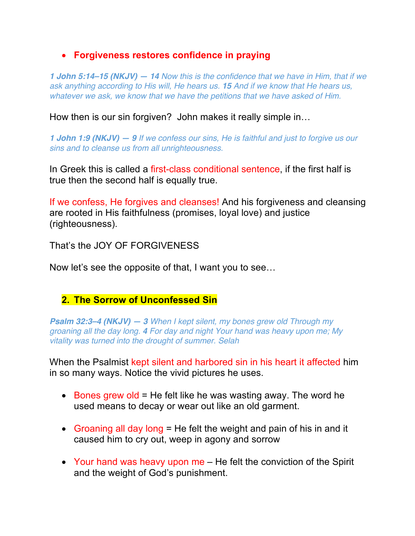### • **Forgiveness restores confidence in praying**

*1 John 5:14–15 (NKJV) — 14 Now this is the confidence that we have in Him, that if we ask anything according to His will, He hears us. 15 And if we know that He hears us, whatever we ask, we know that we have the petitions that we have asked of Him.*

How then is our sin forgiven? John makes it really simple in…

*1 John 1:9 (NKJV) — 9 If we confess our sins, He is faithful and just to forgive us our sins and to cleanse us from all unrighteousness.*

In Greek this is called a first-class conditional sentence, if the first half is true then the second half is equally true.

If we confess, He forgives and cleanses! And his forgiveness and cleansing are rooted in His faithfulness (promises, loyal love) and justice (righteousness).

That's the JOY OF FORGIVENESS

Now let's see the opposite of that, I want you to see…

#### **2. The Sorrow of Unconfessed Sin**

*Psalm 32:3–4 (NKJV) — 3 When I kept silent, my bones grew old Through my groaning all the day long. 4 For day and night Your hand was heavy upon me; My vitality was turned into the drought of summer. Selah*

When the Psalmist kept silent and harbored sin in his heart it affected him in so many ways. Notice the vivid pictures he uses.

- Bones grew old  $=$  He felt like he was wasting away. The word he used means to decay or wear out like an old garment.
- Groaning all day long = He felt the weight and pain of his in and it caused him to cry out, weep in agony and sorrow
- Your hand was heavy upon me He felt the conviction of the Spirit and the weight of God's punishment.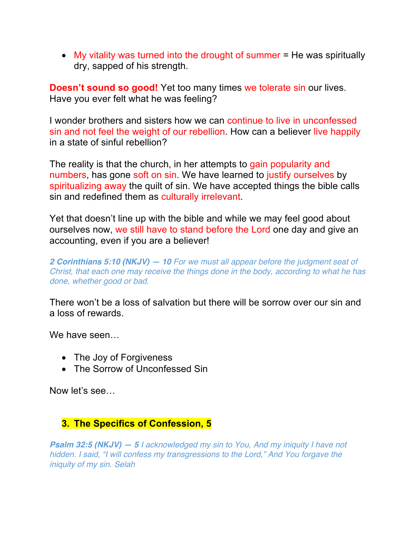• My vitality was turned into the drought of summer = He was spiritually dry, sapped of his strength.

**Doesn't sound so good!** Yet too many times we tolerate sin our lives. Have you ever felt what he was feeling?

I wonder brothers and sisters how we can continue to live in unconfessed sin and not feel the weight of our rebellion. How can a believer live happily in a state of sinful rebellion?

The reality is that the church, in her attempts to gain popularity and numbers, has gone soft on sin. We have learned to justify ourselves by spiritualizing away the quilt of sin. We have accepted things the bible calls sin and redefined them as culturally irrelevant.

Yet that doesn't line up with the bible and while we may feel good about ourselves now, we still have to stand before the Lord one day and give an accounting, even if you are a believer!

*2 Corinthians 5:10 (NKJV) — 10 For we must all appear before the judgment seat of Christ, that each one may receive the things done in the body, according to what he has done, whether good or bad.*

There won't be a loss of salvation but there will be sorrow over our sin and a loss of rewards.

We have seen...

- The Joy of Forgiveness
- The Sorrow of Unconfessed Sin

Now let's see…

### **3. The Specifics of Confession, 5**

*Psalm 32:5 (NKJV) — 5 I acknowledged my sin to You, And my iniquity I have not hidden. I said, "I will confess my transgressions to the Lord," And You forgave the iniquity of my sin. Selah*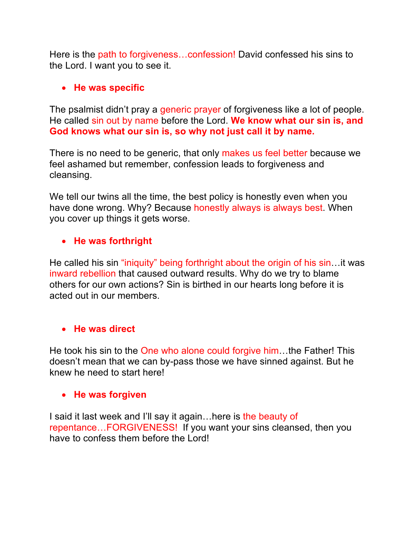Here is the path to forgiveness…confession! David confessed his sins to the Lord. I want you to see it.

### • **He was specific**

The psalmist didn't pray a generic prayer of forgiveness like a lot of people. He called sin out by name before the Lord. **We know what our sin is, and God knows what our sin is, so why not just call it by name.** 

There is no need to be generic, that only makes us feel better because we feel ashamed but remember, confession leads to forgiveness and cleansing.

We tell our twins all the time, the best policy is honestly even when you have done wrong. Why? Because honestly always is always best. When you cover up things it gets worse.

### • **He was forthright**

He called his sin "iniquity" being forthright about the origin of his sin…it was inward rebellion that caused outward results. Why do we try to blame others for our own actions? Sin is birthed in our hearts long before it is acted out in our members.

#### • **He was direct**

He took his sin to the One who alone could forgive him…the Father! This doesn't mean that we can by-pass those we have sinned against. But he knew he need to start here!

#### • **He was forgiven**

I said it last week and I'll say it again…here is the beauty of repentance…FORGIVENESS! If you want your sins cleansed, then you have to confess them before the Lord!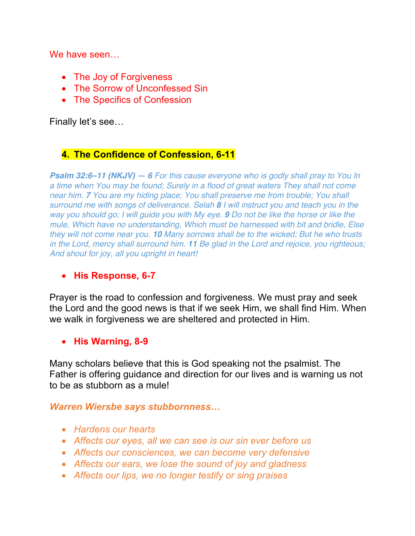We have seen…

- The Joy of Forgiveness
- The Sorrow of Unconfessed Sin
- The Specifics of Confession

Finally let's see…

## **4. The Confidence of Confession, 6-11**

*Psalm 32:6–11 (NKJV) — 6 For this cause everyone who is godly shall pray to You In a time when You may be found; Surely in a flood of great waters They shall not come near him. 7 You are my hiding place; You shall preserve me from trouble; You shall surround me with songs of deliverance. Selah 8 I will instruct you and teach you in the way you should go; I will guide you with My eye. 9 Do not be like the horse or like the mule, Which have no understanding, Which must be harnessed with bit and bridle, Else they will not come near you. 10 Many sorrows shall be to the wicked; But he who trusts in the Lord, mercy shall surround him. 11 Be glad in the Lord and rejoice, you righteous; And shout for joy, all you upright in heart!*

#### • **His Response, 6-7**

Prayer is the road to confession and forgiveness. We must pray and seek the Lord and the good news is that if we seek Him, we shall find Him. When we walk in forgiveness we are sheltered and protected in Him.

#### • **His Warning, 8-9**

Many scholars believe that this is God speaking not the psalmist. The Father is offering guidance and direction for our lives and is warning us not to be as stubborn as a mule!

#### *Warren Wiersbe says stubbornness…*

- *Hardens our hearts*
- *Affects our eyes, all we can see is our sin ever before us*
- *Affects our consciences, we can become very defensive*
- *Affects our ears, we lose the sound of joy and gladness*
- *Affects our lips, we no longer testify or sing praises*